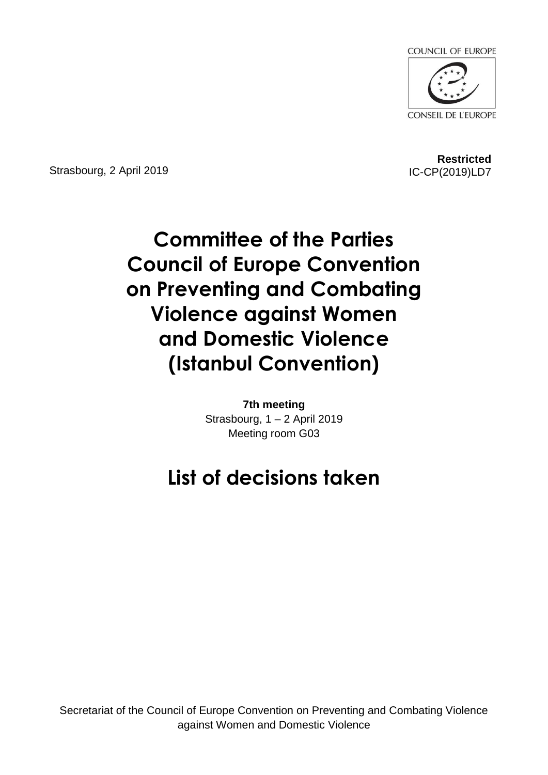

Strasbourg, 2 April 2019

**Restricted** IC-CP(2019)LD7

# **Committee of the Parties Council of Europe Convention on Preventing and Combating Violence against Women and Domestic Violence (Istanbul Convention)**

**7th meeting** Strasbourg, 1 – 2 April 2019 Meeting room G03

## **List of decisions taken**

Secretariat of the Council of Europe Convention on Preventing and Combating Violence against Women and Domestic Violence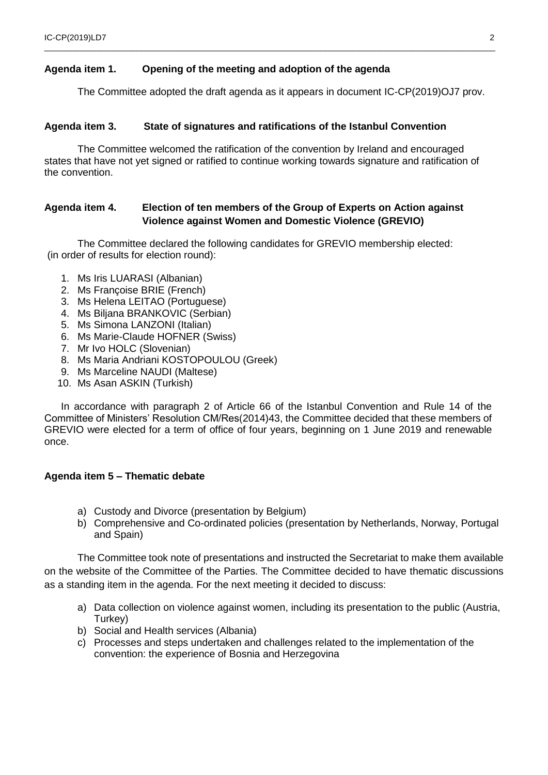#### **Agenda item 1. Opening of the meeting and adoption of the agenda**

The Committee adopted the draft agenda as it appears in document IC-CP(2019)OJ7 prov.

 $\_$  ,  $\_$  ,  $\_$  ,  $\_$  ,  $\_$  ,  $\_$  ,  $\_$  ,  $\_$  ,  $\_$  ,  $\_$  ,  $\_$  ,  $\_$  ,  $\_$  ,  $\_$  ,  $\_$  ,  $\_$  ,  $\_$  ,  $\_$  ,  $\_$  ,  $\_$  ,  $\_$  ,  $\_$  ,  $\_$  ,  $\_$  ,  $\_$  ,  $\_$  ,  $\_$  ,  $\_$  ,  $\_$  ,  $\_$  ,  $\_$  ,  $\_$  ,  $\_$  ,  $\_$  ,  $\_$  ,  $\_$  ,  $\_$  ,

#### **Agenda item 3. State of signatures and ratifications of the Istanbul Convention**

The Committee welcomed the ratification of the convention by Ireland and encouraged states that have not yet signed or ratified to continue working towards signature and ratification of the convention.

#### **Agenda item 4. Election of ten members of the Group of Experts on Action against Violence against Women and Domestic Violence (GREVIO)**

The Committee declared the following candidates for GREVIO membership elected: (in order of results for election round):

- 1. Ms Iris LUARASI (Albanian)
- 2. Ms Françoise BRIE (French)
- 3. Ms Helena LEITAO (Portuguese)
- 4. Ms Biljana BRANKOVIC (Serbian)
- 5. Ms Simona LANZONI (Italian)
- 6. Ms Marie-Claude HOFNER (Swiss)
- 7. Mr Ivo HOLC (Slovenian)
- 8. Ms Maria Andriani KOSTOPOULOU (Greek)
- 9. Ms Marceline NAUDI (Maltese)
- 10. Ms Asan ASKIN (Turkish)

In accordance with paragraph 2 of Article 66 of the Istanbul Convention and Rule 14 of the Committee of Ministers' Resolution CM/Res(2014)43, the Committee decided that these members of GREVIO were elected for a term of office of four years, beginning on 1 June 2019 and renewable once.

#### **Agenda item 5 – Thematic debate**

- a) Custody and Divorce (presentation by Belgium)
- b) Comprehensive and Co-ordinated policies (presentation by Netherlands, Norway, Portugal and Spain)

The Committee took note of presentations and instructed the Secretariat to make them available on the website of the Committee of the Parties. The Committee decided to have thematic discussions as a standing item in the agenda. For the next meeting it decided to discuss:

- a) Data collection on violence against women, including its presentation to the public (Austria, Turkey)
- b) Social and Health services (Albania)
- c) Processes and steps undertaken and challenges related to the implementation of the convention: the experience of Bosnia and Herzegovina